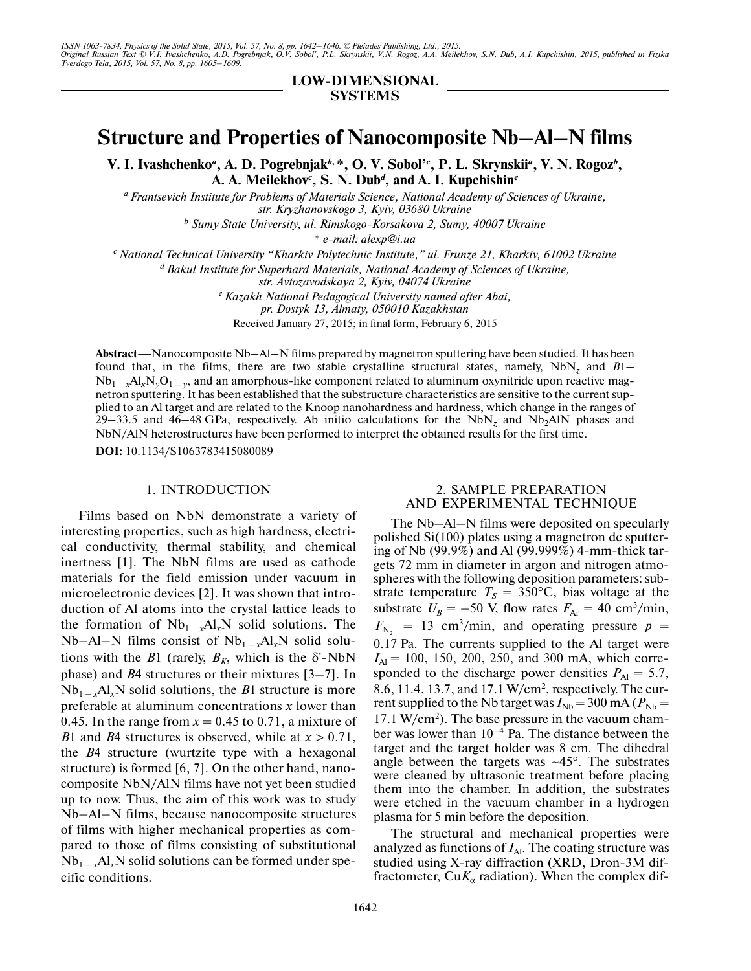ISSN 1063-7834, Physics of the Solid State, 2015, Vol. 57, No. 8, pp. 1642–1646. © Pleiades Publishing, Ltd., 2015.<br>Original Russian Text © V.I. Ivashchenko, A.D. Pogrebnjak, O.V. Sobol', P.L. Skrynskii, V.N. Rogoz, A.A. M

**LOW-DIMENSIONAL SYSTEMS**

# **Structure and Properties of Nanocomposite Nb–Al–N films**

**V. I. Ivashchenko***<sup>a</sup>* **, A. D. Pogrebnjak***b***, \*, O. V. Sobol'***<sup>c</sup>* **, P. L. Skrynskii***<sup>a</sup>* **, V. N. Rogoz***<sup>b</sup>* **, A. A. Meilekhov***<sup>c</sup>* **, S. N. Dub***<sup>d</sup>* **, and A. I. Kupchishin***<sup>e</sup>*

*a Frantsevich Institute for Problems of Materials Science, National Academy of Sciences of Ukraine, str. Kryzhanovskogo 3, Kyiv, 03680 Ukraine* 

*b Sumy State University, ul. Rimskogo-Korsakova 2, Sumy, 40007 Ukraine* 

*\* e-mail: alexp@i.ua*

*c National Technical University "Kharkiv Polytechnic Institute," ul. Frunze 21, Kharkiv, 61002 Ukraine* 

*d Bakul Institute for Superhard Materials, National Academy of Sciences of Ukraine,* 

*str. Avtozavodskaya 2, Kyiv, 04074 Ukraine e Kazakh National Pedagogical University named after Abai,*

*pr. Dostyk 13, Almaty, 050010 Kazakhstan*

Received January 27, 2015; in final form, February 6, 2015

**Abstract**—Nanocomposite Nb–Al–N films prepared by magnetron sputtering have been studied. It has been found that, in the films, there are two stable crystalline structural states, namely,  $NbN_z$  and  $B1$ found that, in the films, there are two stable crystalline structural states, namely,  $NbN_z$  and  $B1 - Nb_{1-x} A l_x N_y O_{1-y}$ , and an amorphous-like component related to aluminum oxynitride upon reactive magnetron sputtering. It has been established that the substructure characteristics are sensitive to the current sup plied to an Al target and are related to the Knoop nanohardness and hardness, which change in the ranges of 29–33.5 and 46–48 GPa, respectively. Ab initio calculations for the NbN<sub>z</sub> and Nb<sub>2</sub>AlN phases and NbN/AlN heterostructures have been performed to interpret the obtained results for the first time.

**DOI:** 10.1134/S1063783415080089

# 1. INTRODUCTION

Films based on NbN demonstrate a variety of interesting properties, such as high hardness, electri cal conductivity, thermal stability, and chemical inertness [1]. The NbN films are used as cathode materials for the field emission under vacuum in microelectronic devices [2]. It was shown that intro duction of Al atoms into the crystal lattice leads to the formation of  $Nb_{1-x}Al_xN$  solid solutions. The Nb–Al–N films consist of  $Nb_{1-x}Al_xN$  solid solutions with the  $B1$  (rarely,  $B_K$ , which is the  $\delta'$ -NbN phase) and *B*4 structures or their mixtures [3–7]. In  $Nb_{1-x}Al_xN$  solid solutions, the *B*1 structure is more preferable at aluminum concentrations *x* lower than 0.45. In the range from  $x = 0.45$  to 0.71, a mixture of *B*1 and *B*4 structures is observed, while at *x* > 0.71, the *B*4 structure (wurtzite type with a hexagonal structure) is formed [6, 7]. On the other hand, nano composite NbN/AlN films have not yet been studied up to now. Thus, the aim of this work was to study Nb–Al–N films, because nanocomposite structures of films with higher mechanical properties as com pared to those of films consisting of substitutional  $Nb_{1-x}Al_xN$  solid solutions can be formed under specific conditions.

## 2. SAMPLE PREPARATION AND EXPERIMENTAL TECHNIQUE

The Nb–Al–N films were deposited on specularly polished Si(100) plates using a magnetron dc sputter ing of Nb (99.9%) and Al (99.999%) 4-mm-thick tar gets 72 mm in diameter in argon and nitrogen atmo spheres with the following deposition parameters: sub strate temperature  $T_s = 350$ °C, bias voltage at the substrate  $U_B = -50$  V, flow rates  $F_{Ar} = 40$  cm<sup>3</sup>/min,  $F_{\text{N}_2}$  = 13 cm<sup>3</sup>/min, and operating pressure  $p =$ 0.17 Pa. The currents supplied to the Al target were  $I_{\text{Al}}$  = 100, 150, 200, 250, and 300 mA, which corresponded to the discharge power densities  $P_{\text{Al}} = 5.7$ , 8.6, 11.4, 13.7, and 17.1 W/cm<sup>2</sup>, respectively. The current supplied to the Nb target was  $I_{Nb} = 300 \text{ mA} (P_{Nb} =$ 17.1 W/cm<sup>2</sup>). The base pressure in the vacuum chamber was lower than  $10^{-4}$  Pa. The distance between the target and the target holder was 8 cm. The dihedral angle between the targets was  $~15^{\circ}$ . The substrates were cleaned by ultrasonic treatment before placing them into the chamber. In addition, the substrates were etched in the vacuum chamber in a hydrogen plasma for 5 min before the deposition.

The structural and mechanical properties were analyzed as functions of  $I_{Al}$ . The coating structure was studied using X-ray diffraction (XRD, Dron-3M dif fractometer,  $CuK_{\alpha}$  radiation). When the complex dif-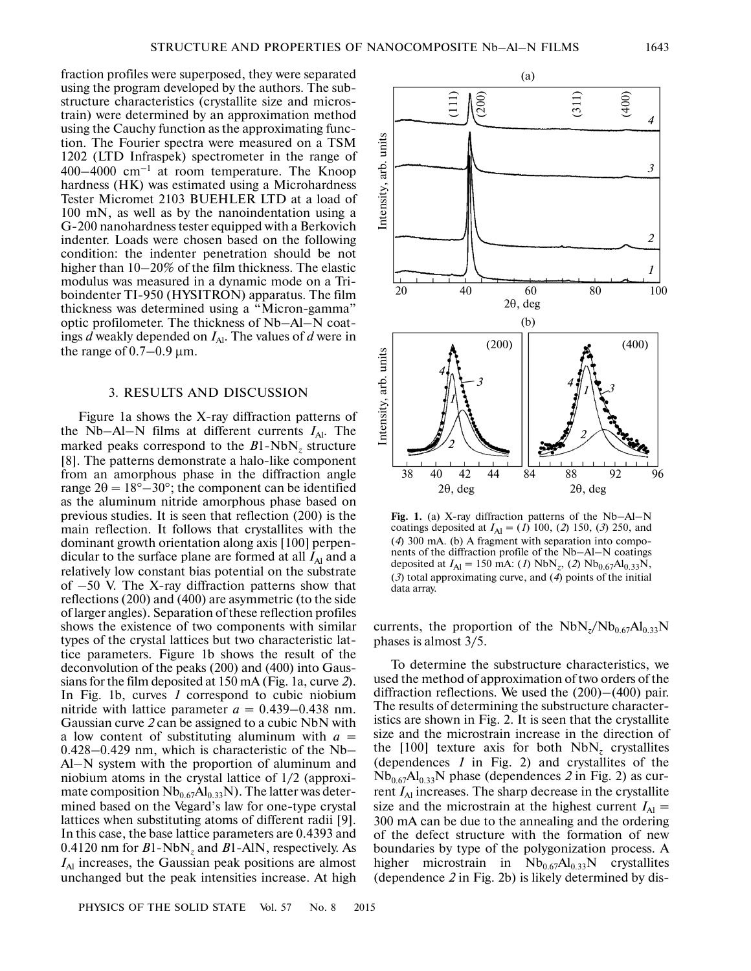fraction profiles were superposed, they were separated using the program developed by the authors. The sub structure characteristics (crystallite size and micros train) were determined by an approximation method using the Cauchy function as the approximating func tion. The Fourier spectra were measured on a TSM 1202 (LTD Infraspek) spectrometer in the range of  $400-4000$  cm<sup>-1</sup> at room temperature. The Knoop hardness (HK) was estimated using a Microhardness Tester Micromet 2103 BUEHLER LTD at a load of 100 mN, as well as by the nanoindentation using a G-200 nanohardness tester equipped with a Berkovich indenter. Loads were chosen based on the following condition: the indenter penetration should be not higher than  $10-20\%$  of the film thickness. The elastic modulus was measured in a dynamic mode on a Tri boindenter TI-950 (HYSITRON) apparatus. The film thickness was determined using a "Micron-gamma" optic profilometer. The thickness of Nb–Al–N coat ings  $d$  weakly depended on  $I_{Al}$ . The values of  $d$  were in the range of  $0.7-0.9$   $\mu$ m.

#### 3. RESULTS AND DISCUSSION

Figure 1a shows the X-ray diffraction patterns of the Nb–Al–N films at different currents  $I_{Al}$ . The marked peaks correspond to the *B*1-NbN*z* structure [8]. The patterns demonstrate a halo-like component from an amorphous phase in the diffraction angle range  $2\theta = 18^{\circ} - 30^{\circ}$ ; the component can be identified as the aluminum nitride amorphous phase based on previous studies. It is seen that reflection (200) is the main reflection. It follows that crystallites with the dominant growth orientation along axis [100] perpen dicular to the surface plane are formed at all  $I_{\text{Al}}$  and a relatively low constant bias potential on the substrate of –50 V. The X-ray diffraction patterns show that reflections (200) and (400) are asymmetric (to the side of larger angles). Separation of these reflection profiles shows the existence of two components with similar types of the crystal lattices but two characteristic lat tice parameters. Figure 1b shows the result of the deconvolution of the peaks (200) and (400) into Gaus sians for the film deposited at 150 mA (Fig. 1a, curve *2*). In Fig. 1b, curves *1* correspond to cubic niobium nitride with lattice parameter  $a = 0.439 - 0.438$  nm. Gaussian curve *2* can be assigned to a cubic NbN with a low content of substituting aluminum with  $a =$ 0.428–0.429 nm, which is characteristic of the Nb– Al–N system with the proportion of aluminum and niobium atoms in the crystal lattice of 1/2 (approxi mate composition  $Nb_{0.67}Al_{0.33}N$ ). The latter was determined based on the Vegard's law for one-type crystal lattices when substituting atoms of different radii [9]. In this case, the base lattice parameters are 0.4393 and 0.4120 nm for *B*1-NbN*z* and *B*1-AlN, respectively. As  $I_{\text{Al}}$  increases, the Gaussian peak positions are almost unchanged but the peak intensities increase. At high



Fig. 1. (a) X-ray diffraction patterns of the Nb-Al-N coatings deposited at  $I_{\text{Al}} = (I)$  100, (2) 150, (3) 250, and (*4*) 300 mA. (b) A fragment with separation into compo nents of the diffraction profile of the Nb–Al–N coatings deposited at  $I_{\text{Al}} = 150 \text{ mA}$ : (*1*) NbN<sub>z</sub>, (*2*) Nb<sub>0.67</sub>Al<sub>0.33</sub>N, (*3*) total approximating curve, and (*4*) points of the initial data array.

currents, the proportion of the  $NbN_{z}/Nb_{0.67}Al_{0.33}N$ phases is almost 3/5.

To determine the substructure characteristics, we used the method of approximation of two orders of the diffraction reflections. We used the (200)–(400) pair. The results of determining the substructure character istics are shown in Fig. 2. It is seen that the crystallite size and the microstrain increase in the direction of the [100] texture axis for both  $NbN<sub>z</sub>$  crystallites (dependences *1* in Fig. 2) and crystallites of the  $Nb_{0.67}Al_{0.33}N$  phase (dependences 2 in Fig. 2) as current *I*<sub>Al</sub> increases. The sharp decrease in the crystallite size and the microstrain at the highest current  $I_{\text{Al}} =$ 300 mA can be due to the annealing and the ordering of the defect structure with the formation of new boundaries by type of the polygonization process. A higher microstrain in  $Nb_{0.67}Al_{0.33}N$  crystallites (dependence *2* in Fig. 2b) is likely determined by dis-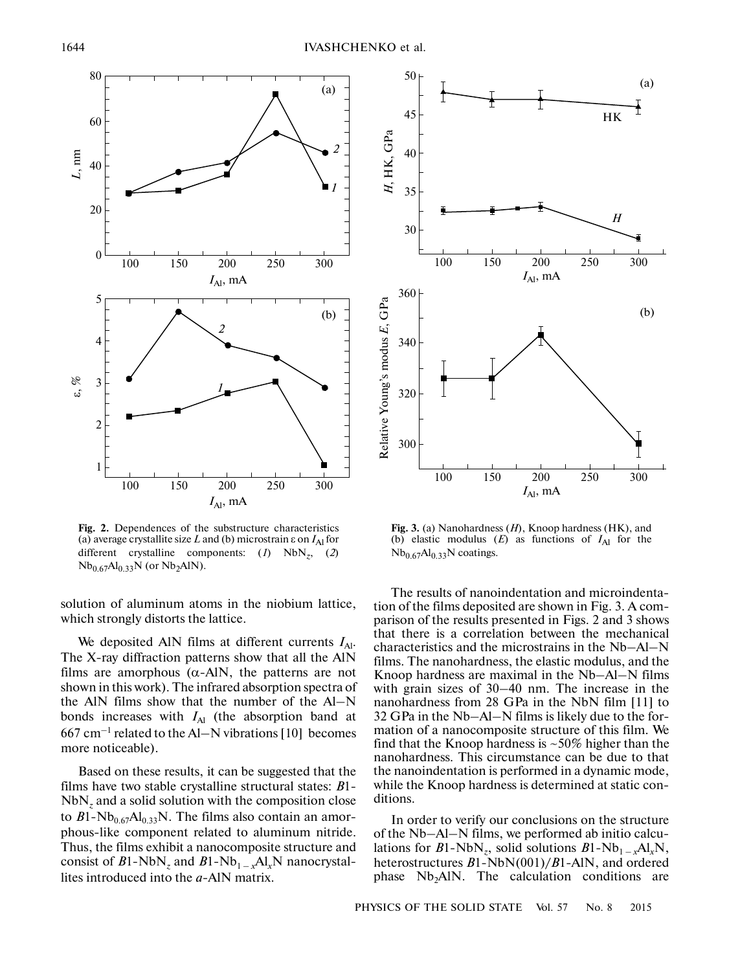

**Fig. 2.** Dependences of the substructure characteristics (a) average crystallite size L and (b) microstrain  $\varepsilon$  on  $I_{\text{Al}}$  for different crystalline components: (*1*) NbN*z*, (*2*)  $Nb_{0.67}Al_{0.33}N$  (or  $Nb_{2}AlN$ ).

solution of aluminum atoms in the niobium lattice, which strongly distorts the lattice.

We deposited AlN films at different currents  $I_{\text{Al}}$ . The X-ray diffraction patterns show that all the AlN films are amorphous  $(\alpha - A)N$ , the patterns are not shown in this work). The infrared absorption spectra of the AlN films show that the number of the Al–N bonds increases with  $I_{\text{Al}}$  (the absorption band at  $667$  cm<sup>-1</sup> related to the Al–N vibrations [10] becomes more noticeable).

Based on these results, it can be suggested that the films have two stable crystalline structural states: *B*1-  $NbN<sub>z</sub>$  and a solid solution with the composition close to  $B1-Nb_{0.67}Al_{0.33}N$ . The films also contain an amorphous-like component related to aluminum nitride. Thus, the films exhibit a nanocomposite structure and consist of  $B1-NbN_z$  and  $B1-Nb_{1-x}Al_xN$  nanocrystallites introduced into the *a*-AlN matrix.



**Fig. 3.** (a) Nanohardness (*H*), Knoop hardness (HK), and (b) elastic modulus  $(E)$  as functions of  $I_{\text{Al}}$  for the  $Nb_{0.67}Al_{0.33}N$  coatings.

The results of nanoindentation and microindenta tion of the films deposited are shown in Fig. 3. A com parison of the results presented in Figs. 2 and 3 shows that there is a correlation between the mechanical characteristics and the microstrains in the Nb–Al–N films. The nanohardness, the elastic modulus, and the Knoop hardness are maximal in the Nb–Al–N films with grain sizes of 30–40 nm. The increase in the nanohardness from 28 GPa in the NbN film [11] to 32 GPa in the Nb–Al–N films is likely due to the for mation of a nanocomposite structure of this film. We find that the Knoop hardness is  $\sim$  50% higher than the nanohardness. This circumstance can be due to that the nanoindentation is performed in a dynamic mode, while the Knoop hardness is determined at static con ditions.

In order to verify our conclusions on the structure of the Nb–Al–N films, we performed ab initio calcu lations for  $B1-\text{NbN}_z$ , solid solutions  $B1-\text{Nb}_{1-x}\text{Al}_x\text{N}$ , heterostructures *B*1-NbN(001)/*B*1-AlN, and ordered phase  $Nb<sub>2</sub>AIN$ . The calculation conditions are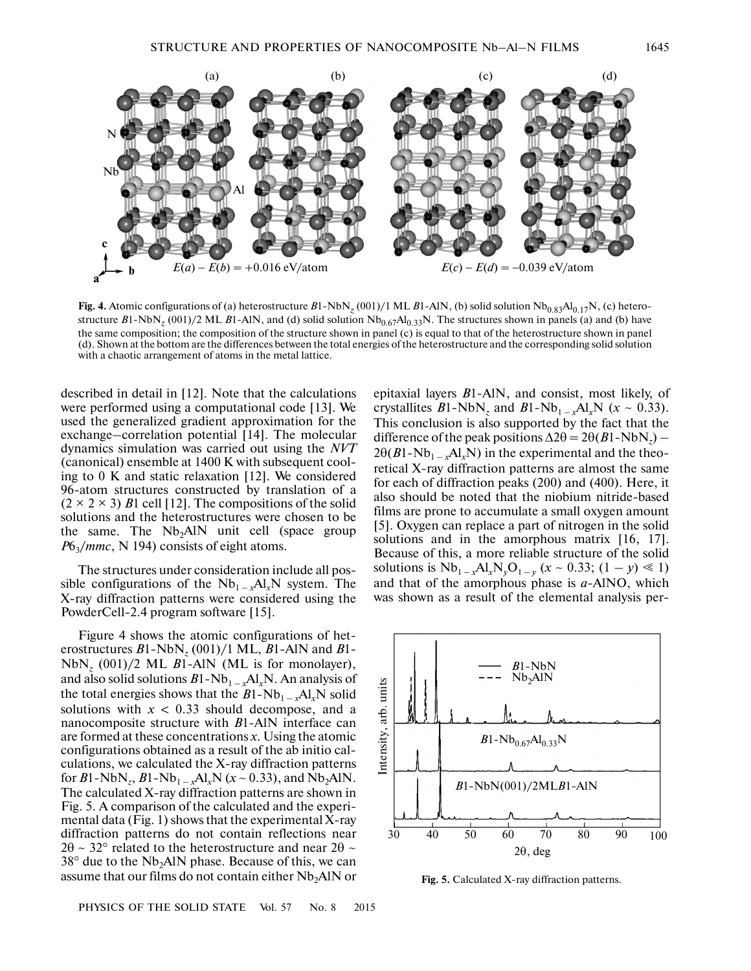

**Fig. 4.** Atomic configurations of (a) heterostructure  $B1-NbN_z(001)/1$  ML  $B1-AIN$ , (b) solid solution  $Nb_{0.83}Al_{0.17}N$ , (c) heterostructure  $B1$ -NbN<sub>z</sub> (001)/2 ML  $B1$ -AlN, and (d) solid solution  $Nb_{0.67}Al_{0.33}N$ . The structures shown in panels (a) and (b) have the same composition; the composition of the structure shown in panel (c) is equal to that of the heterostructure shown in panel (d). Shown at the bottom are the differences between the total energies of the heterostructure and the corresponding solid solution with a chaotic arrangement of atoms in the metal lattice.

described in detail in [12]. Note that the calculations were performed using a computational code [13]. We used the generalized gradient approximation for the exchange–correlation potential [14]. The molecular dynamics simulation was carried out using the *NVT* (canonical) ensemble at 1400 K with subsequent cool ing to 0 K and static relaxation [12]. We considered 96-atom structures constructed by translation of a  $(2 \times 2 \times 3)$  *B*1 cell [12]. The compositions of the solid solutions and the heterostructures were chosen to be the same. The  $Nb<sub>2</sub>AlN$  unit cell (space group *P*6<sub>3</sub>/*mmc*, N 194) consists of eight atoms.

The structures under consideration include all pos sible configurations of the  $Nb_{1-x}Al_xN$  system. The X-ray diffraction patterns were considered using the PowderCell-2.4 program software [15].

Figure 4 shows the atomic configurations of het erostructures *B*1-NbN*z* (001)/1 ML, *B*1-AlN and *B*1-  $NbN_z$  (001)/2 ML *B*1-AlN (ML is for monolayer), and also solid solutions *B*1-Nb1 – *<sup>x</sup>*Al*x*N. An analysis of the total energies shows that the  $B1-Nb_{1-x}A1_xN$  solid solutions with  $x < 0.33$  should decompose, and a nanocomposite structure with *B*1-AlN interface can are formed at these concentrations *x*. Using the atomic configurations obtained as a result of the ab initio cal culations, we calculated the X-ray diffraction patterns for  $B1$ -NbN<sub>z</sub>,  $B1$ -Nb<sub>1 –  $x$ </sub>Al<sub>x</sub>N ( $x \sim 0.33$ ), and Nb<sub>2</sub>AlN. The calculated X-ray diffraction patterns are shown in Fig. 5. A comparison of the calculated and the experi mental data (Fig. 1) shows that the experimental X-ray diffraction patterns do not contain reflections near  $2\theta \sim 32^{\circ}$  related to the heterostructure and near  $2\theta \sim$  $38^\circ$  due to the Nb<sub>2</sub>AlN phase. Because of this, we can assume that our films do not contain either  $Nb<sub>2</sub>AIN$  or

epitaxial layers *B*1-AlN, and consist, most likely, of crystallites  $B1-\text{NbN}_z$  and  $B1-\text{Nb}_{1-x}A1_xN$  ( $x \sim 0.33$ ). This conclusion is also supported by the fact that the difference of the peak positions  $\Delta 2\theta = 2\theta (B1 - NbN_z)$  $2\theta(B1-Nb_{1-x}Al_xN)$  in the experimental and the theoretical X-ray diffraction patterns are almost the same for each of diffraction peaks (200) and (400). Here, it also should be noted that the niobium nitride-based films are prone to accumulate a small oxygen amount [5]. Oxygen can replace a part of nitrogen in the solid solutions and in the amorphous matrix [16, 17]. Because of this, a more reliable structure of the solid solutions is  $Nb_{1-x}Al_xN_yO_{1-y}$  ( $x \sim 0.33$ ; ( $1-y \ll 1$ ) and that of the amorphous phase is *a*-AlNO, which was shown as a result of the elemental analysis per-



**Fig. 5.** Calculated X-ray diffraction patterns.